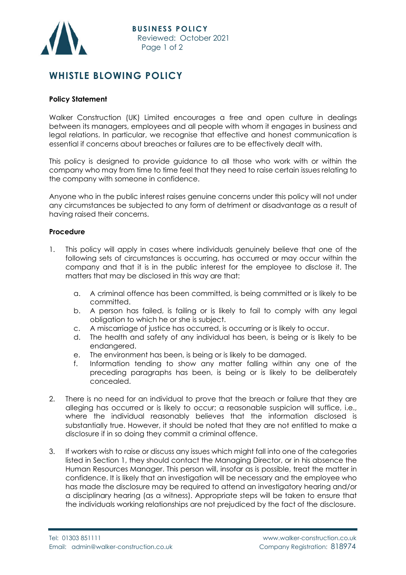

## **WHISTLE BLOWING POLICY**

## **Policy Statement**

Walker Construction (UK) Limited encourages a free and open culture in dealings between its managers, employees and all people with whom it engages in business and legal relations. In particular, we recognise that effective and honest communication is essential if concerns about breaches or failures are to be effectively dealt with.

This policy is designed to provide guidance to all those who work with or within the company who may from time to time feel that they need to raise certain issues relating to the company with someone in confidence.

Anyone who in the public interest raises genuine concerns under this policy will not under any circumstances be subjected to any form of detriment or disadvantage as a result of having raised their concerns.

## **Procedure**

- 1. This policy will apply in cases where individuals genuinely believe that one of the following sets of circumstances is occurring, has occurred or may occur within the company and that it is in the public interest for the employee to disclose it. The matters that may be disclosed in this way are that:
	- a. A criminal offence has been committed, is being committed or is likely to be committed.
	- b. A person has failed, is failing or is likely to fail to comply with any legal obligation to which he or she is subject.
	- c. A miscarriage of justice has occurred, is occurring or is likely to occur.
	- d. The health and safety of any individual has been, is being or is likely to be endangered.
	- e. The environment has been, is being or is likely to be damaged.
	- f. Information tending to show any matter falling within any one of the preceding paragraphs has been, is being or is likely to be deliberately concealed.
- 2. There is no need for an individual to prove that the breach or failure that they are alleging has occurred or is likely to occur; a reasonable suspicion will suffice, i.e., where the individual reasonably believes that the information disclosed is substantially true. However, it should be noted that they are not entitled to make a disclosure if in so doing they commit a criminal offence.
- 3. If workers wish to raise or discuss any issues which might fall into one of the categories listed in Section 1, they should contact the Managing Director, or in his absence the Human Resources Manager. This person will, insofar as is possible, treat the matter in confidence. It is likely that an investigation will be necessary and the employee who has made the disclosure may be required to attend an investigatory hearing and/or a disciplinary hearing (as a witness). Appropriate steps will be taken to ensure that the individuals working relationships are not prejudiced by the fact of the disclosure.